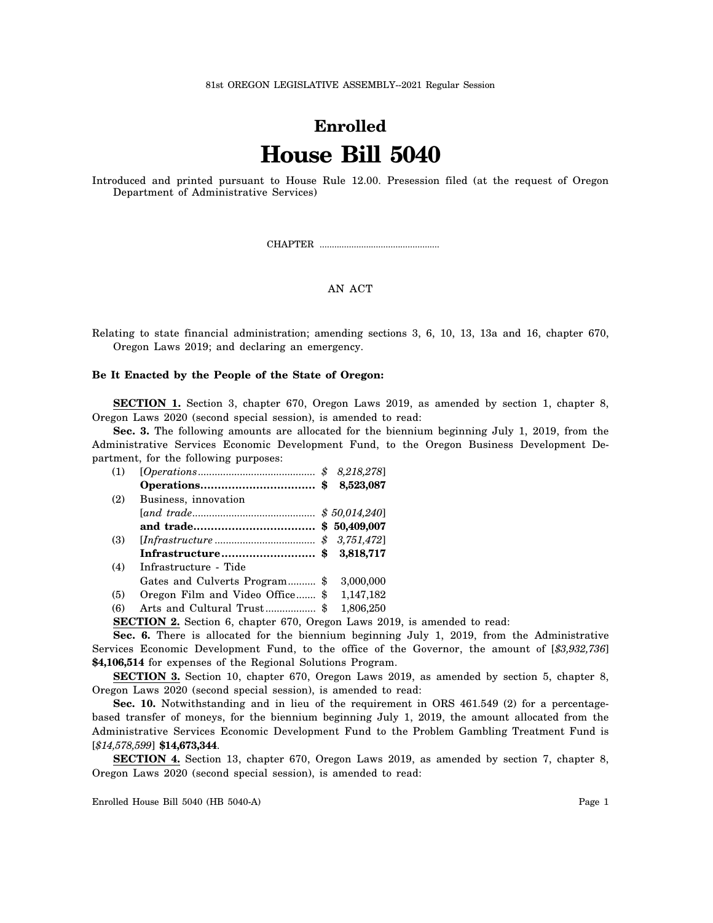81st OREGON LEGISLATIVE ASSEMBLY--2021 Regular Session

## **Enrolled House Bill 5040**

Introduced and printed pursuant to House Rule 12.00. Presession filed (at the request of Oregon Department of Administrative Services)

CHAPTER .................................................

## AN ACT

Relating to state financial administration; amending sections 3, 6, 10, 13, 13a and 16, chapter 670, Oregon Laws 2019; and declaring an emergency.

## **Be It Enacted by the People of the State of Oregon:**

**SECTION 1.** Section 3, chapter 670, Oregon Laws 2019, as amended by section 1, chapter 8, Oregon Laws 2020 (second special session), is amended to read:

**Sec. 3.** The following amounts are allocated for the biennium beginning July 1, 2019, from the Administrative Services Economic Development Fund, to the Oregon Business Development Department, for the following purposes:

| (1) |                                                                                 |  |  |
|-----|---------------------------------------------------------------------------------|--|--|
|     |                                                                                 |  |  |
| (2) | Business, innovation                                                            |  |  |
|     |                                                                                 |  |  |
|     |                                                                                 |  |  |
| (3) |                                                                                 |  |  |
|     | Infrastructure \$ 3,818,717                                                     |  |  |
| (4) | Infrastructure - Tide                                                           |  |  |
|     | Gates and Culverts Program \$ 3,000,000                                         |  |  |
| (5) | Oregon Film and Video Office \$ 1,147,182                                       |  |  |
| (6) |                                                                                 |  |  |
|     | <b>SECTION 2.</b> Section 6, chapter 670, Oregon Laws 2019, is amended to read: |  |  |
|     |                                                                                 |  |  |

**Sec. 6.** There is allocated for the biennium beginning July 1, 2019, from the Administrative Services Economic Development Fund, to the office of the Governor, the amount of [*\$3,932,736*] **\$4,106,514** for expenses of the Regional Solutions Program.

**SECTION 3.** Section 10, chapter 670, Oregon Laws 2019, as amended by section 5, chapter 8, Oregon Laws 2020 (second special session), is amended to read:

Sec. 10. Notwithstanding and in lieu of the requirement in ORS 461.549 (2) for a percentagebased transfer of moneys, for the biennium beginning July 1, 2019, the amount allocated from the Administrative Services Economic Development Fund to the Problem Gambling Treatment Fund is [*\$14,578,599*] **\$14,673,344**.

**SECTION 4.** Section 13, chapter 670, Oregon Laws 2019, as amended by section 7, chapter 8, Oregon Laws 2020 (second special session), is amended to read:

Enrolled House Bill 5040 (HB 5040-A) Page 1